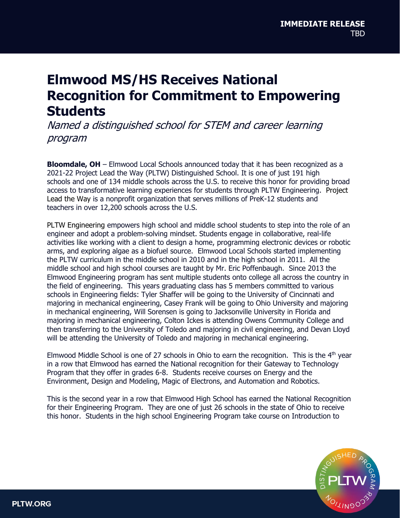## **Elmwood MS/HS Receives National Recognition for Commitment to Empowering Students**

Named a distinguished school for STEM and career learning program

**Bloomdale, OH** – Elmwood Local Schools announced today that it has been recognized as a 2021-22 Project Lead the Way (PLTW) Distinguished School. It is one of just 191 high schools and one of 134 middle schools across the U.S. to receive this honor for providing broad access to transformative learning experiences for students through PLTW Engineering. Project Lead the Way is a nonprofit organization that serves millions of PreK-12 students and teachers in over 12,200 schools across the U.S.

PLTW Engineering empowers high school and middle school students to step into the role of an engineer and adopt a problem-solving mindset. Students engage in collaborative, real-life activities like working with a client to design a home, programming electronic devices or robotic arms, and exploring algae as a biofuel source. Elmwood Local Schools started implementing the PLTW curriculum in the middle school in 2010 and in the high school in 2011. All the middle school and high school courses are taught by Mr. Eric Poffenbaugh. Since 2013 the Elmwood Engineering program has sent multiple students onto college all across the country in the field of engineering. This years graduating class has 5 members committed to various schools in Engineering fields: Tyler Shaffer will be going to the University of Cincinnati and majoring in mechanical engineering, Casey Frank will be going to Ohio University and majoring in mechanical engineering, Will Sorensen is going to Jacksonville University in Florida and majoring in mechanical engineering, Colton Ickes is attending Owens Community College and then transferring to the University of Toledo and majoring in civil engineering, and Devan Lloyd will be attending the University of Toledo and majoring in mechanical engineering.

Elmwood Middle School is one of 27 schools in Ohio to earn the recognition. This is the  $4<sup>th</sup>$  year in a row that Elmwood has earned the National recognition for their Gateway to Technology Program that they offer in grades 6-8. Students receive courses on Energy and the Environment, Design and Modeling, Magic of Electrons, and Automation and Robotics.

This is the second year in a row that Elmwood High School has earned the National Recognition for their Engineering Program. They are one of just 26 schools in the state of Ohio to receive this honor. Students in the high school Engineering Program take course on Introduction to